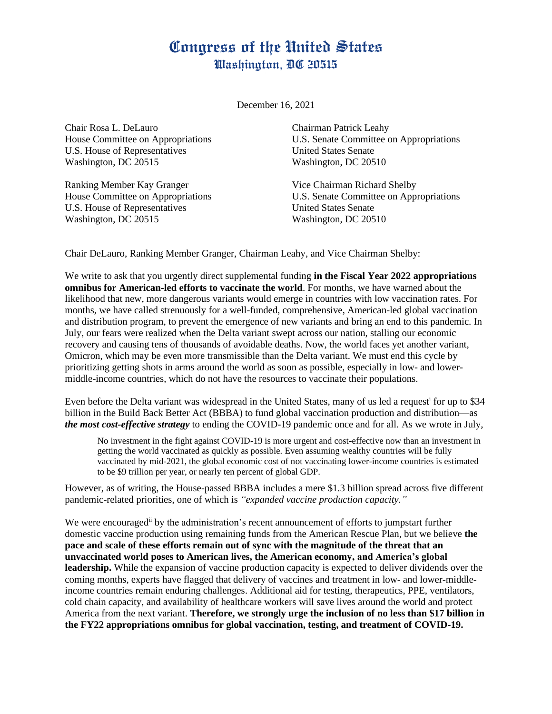## Congress of the United States Washington, DC 20515

December 16, 2021

Chair Rosa L. DeLauro House Committee on Appropriations U.S. House of Representatives Washington, DC 20515

Ranking Member Kay Granger House Committee on Appropriations U.S. House of Representatives Washington, DC 20515

Chairman Patrick Leahy U.S. Senate Committee on Appropriations United States Senate Washington, DC 20510

Vice Chairman Richard Shelby U.S. Senate Committee on Appropriations United States Senate Washington, DC 20510

Chair DeLauro, Ranking Member Granger, Chairman Leahy, and Vice Chairman Shelby:

We write to ask that you urgently direct supplemental funding **in the Fiscal Year 2022 appropriations omnibus for American-led efforts to vaccinate the world**. For months, we have warned about the likelihood that new, more dangerous variants would emerge in countries with low vaccination rates. For months, we have called strenuously for a well-funded, comprehensive, American-led global vaccination and distribution program, to prevent the emergence of new variants and bring an end to this pandemic. In July, our fears were realized when the Delta variant swept across our nation, stalling our economic recovery and causing tens of thousands of avoidable deaths. Now, the world faces yet another variant, Omicron, which may be even more transmissible than the Delta variant. We must end this cycle by prioritizing getting shots in arms around the world as soon as possible, especially in low- and lowermiddle-income countries, which do not have the resources to vaccinate their populations.

Even before the Delta variant was widespread in the United States, many of us led a request<sup>i</sup> for up to \$34 billion in the Build Back Better Act (BBBA) to fund global vaccination production and distribution—as *the most cost-effective strategy* to ending the COVID-19 pandemic once and for all. As we wrote in July,

No investment in the fight against COVID-19 is more urgent and cost-effective now than an investment in getting the world vaccinated as quickly as possible. Even assuming wealthy countries will be fully vaccinated by mid-2021, the global economic cost of not vaccinating lower-income countries is estimated to be \$9 trillion per year, or nearly ten percent of global GDP.

However, as of writing, the House-passed BBBA includes a mere \$1.3 billion spread across five different pandemic-related priorities, one of which is *"expanded vaccine production capacity."*

We were encouraged<sup>ii</sup> by the administration's recent announcement of efforts to jumpstart further domestic vaccine production using remaining funds from the American Rescue Plan, but we believe **the pace and scale of these efforts remain out of sync with the magnitude of the threat that an unvaccinated world poses to American lives, the American economy, and America's global leadership.** While the expansion of vaccine production capacity is expected to deliver dividends over the coming months, experts have flagged that delivery of vaccines and treatment in low- and lower-middleincome countries remain enduring challenges. Additional aid for testing, therapeutics, PPE, ventilators, cold chain capacity, and availability of healthcare workers will save lives around the world and protect America from the next variant. **Therefore, we strongly urge the inclusion of no less than \$17 billion in the FY22 appropriations omnibus for global vaccination, testing, and treatment of COVID-19.**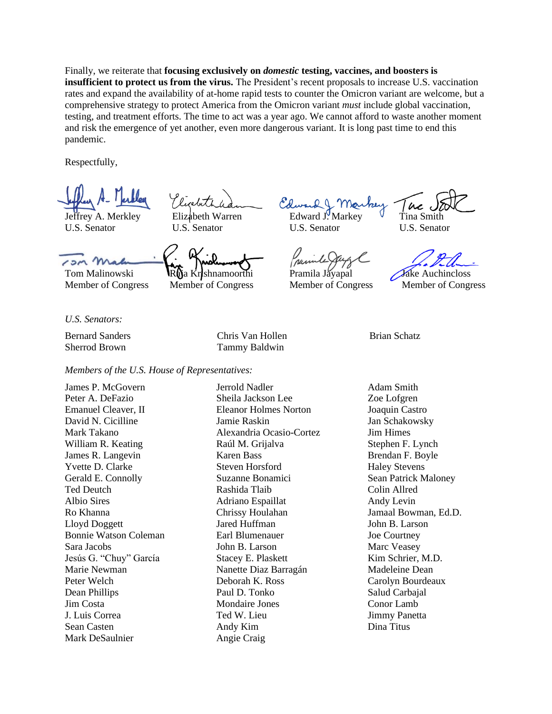Finally, we reiterate that **focusing exclusively on** *domestic* **testing, vaccines, and boosters is insufficient to protect us from the virus.** The President's recent proposals to increase U.S. vaccination rates and expand the availability of at-home rapid tests to counter the Omicron variant are welcome, but a comprehensive strategy to protect America from the Omicron variant *must* include global vaccination, testing, and treatment efforts. The time to act was a year ago. We cannot afford to waste another moment and risk the emergence of yet another, even more dangerous variant. It is long past time to end this pandemic.

Respectfully,

Jeffrey A. Merkley Elizabeth Warren Edward J.

 $20M$ 

Tom Malinowski Raja Krishnamoorthi Pramila Jayapal Jake Auchincloss Member of Congress Member of Congress Member of Congress Member of Congress

U.S. Senator U.S. Senator U.S. Senator U.S. Senator

*U.S. Senators:* 

Bernard Sanders Chris Van Hollen Brian Schatz

Sherrod Brown Tammy Baldwin

## *Members of the U.S. House of Representatives:*

James P. McGovern Peter A. DeFazio Emanuel Cleaver, II David N. Cicilline Mark Takano William R. Keating James R. Langevin Yvette D. Clarke Gerald E. Connolly Ted Deutch Albio Sires Ro Khanna Lloyd Doggett Bonnie Watson Coleman Sara Jacobs Jesús G. "Chuy" García Marie Newman Peter Welch Dean Phillips Jim Costa J. Luis Correa Sean Casten Mark DeSaulnier

Jerrold Nadler Sheila Jackson Lee Eleanor Holmes Norton Jamie Raskin Alexandria Ocasio-Cortez Raúl M. Grijalva Karen Bass Steven Horsford Suzanne Bonamici Rashida Tlaib Adriano Espaillat Chrissy Houlahan Jared Huffman Earl Blumenauer John B. Larson Stacey E. Plaskett Nanette Diaz Barragán Deborah K. Ross Paul D. Tonko Mondaire Jones Ted W. Lieu Andy Kim Angie Craig

Adam Smith Zoe Lofgren Joaquin Castro Jan Schakowsky Jim Himes Stephen F. Lynch Brendan F. Boyle Haley Stevens Sean Patrick Maloney Colin Allred Andy Levin Jamaal Bowman, Ed.D. John B. Larson Joe Courtney Marc Veasey Kim Schrier, M.D. Madeleine Dean Carolyn Bourdeaux Salud Carbajal Conor Lamb Jimmy Panetta Dina Titus